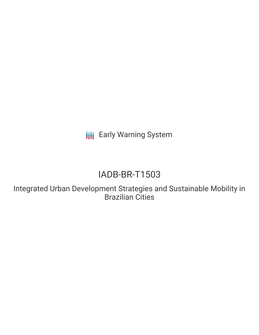**III** Early Warning System

# IADB-BR-T1503

Integrated Urban Development Strategies and Sustainable Mobility in Brazilian Cities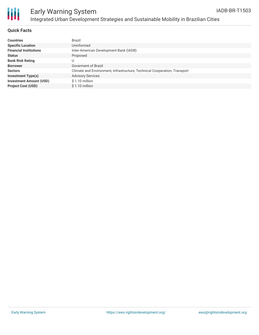

| <b>Countries</b>               | Brazil                                                                    |
|--------------------------------|---------------------------------------------------------------------------|
| <b>Specific Location</b>       | Uninformed                                                                |
| <b>Financial Institutions</b>  | Inter-American Development Bank (IADB)                                    |
| <b>Status</b>                  | Proposed                                                                  |
| <b>Bank Risk Rating</b>        |                                                                           |
| <b>Borrower</b>                | Goverment of Brazil                                                       |
| <b>Sectors</b>                 | Climate and Environment, Infrastructure, Technical Cooperation, Transport |
| <b>Investment Type(s)</b>      | <b>Advisory Services</b>                                                  |
| <b>Investment Amount (USD)</b> | $$1.10$ million                                                           |
| <b>Project Cost (USD)</b>      | $$1.10$ million                                                           |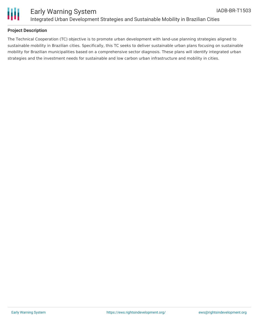

## **Project Description**

The Technical Cooperation (TC) objective is to promote urban development with land-use planning strategies aligned to sustainable mobility in Brazilian cities. Specifically, this TC seeks to deliver sustainable urban plans focusing on sustainable mobility for Brazilian municipalities based on a comprehensive sector diagnosis. These plans will identify integrated urban strategies and the investment needs for sustainable and low carbon urban infrastructure and mobility in cities.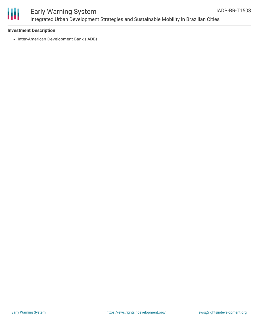

# Early Warning System Integrated Urban Development Strategies and Sustainable Mobility in Brazilian Cities

#### **Investment Description**

• Inter-American Development Bank (IADB)